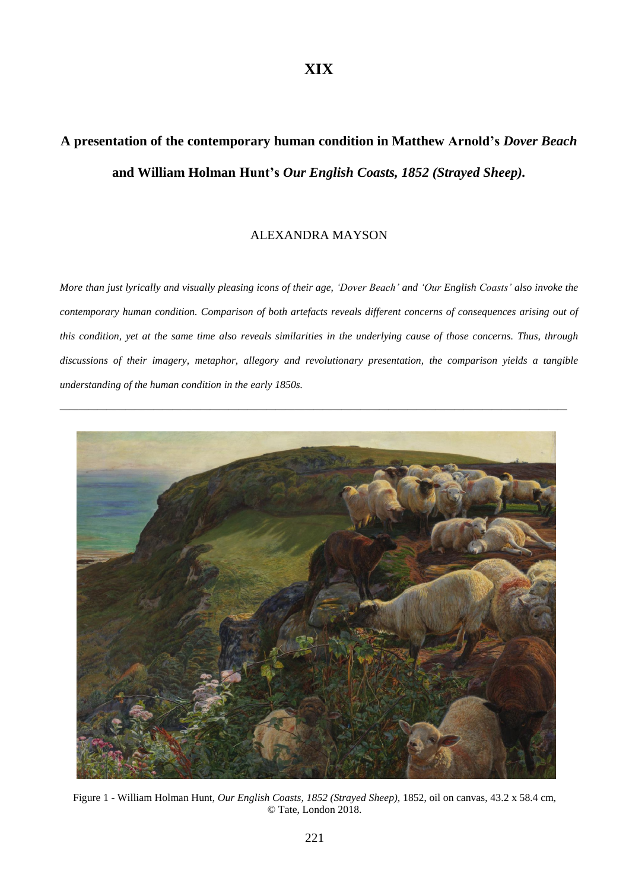# **A presentation of the contemporary human condition in Matthew Arnold's** *Dover Beach* **and William Holman Hunt's** *Our English Coasts, 1852 (Strayed Sheep).*

# ALEXANDRA MAYSON

More than just lyrically and visually pleasing icons of their age, 'Dover Beach' and 'Our English Coasts' also invoke the *contemporary human condition. Comparison of both artefacts reveals different concerns of consequences arising out of* this condition, yet at the same time also reveals similarities in the underlying cause of those concerns. Thus, through *discussions of their imagery, metaphor, allegory and revolutionary presentation, the comparison yields a tangible understanding of the human condition in the early 1850s.*



Figure 1 - William Holman Hunt, *Our English Coasts, 1852 (Strayed Sheep),* 1852, oil on canvas, 43.2 x 58.4 cm, © Tate, London 2018.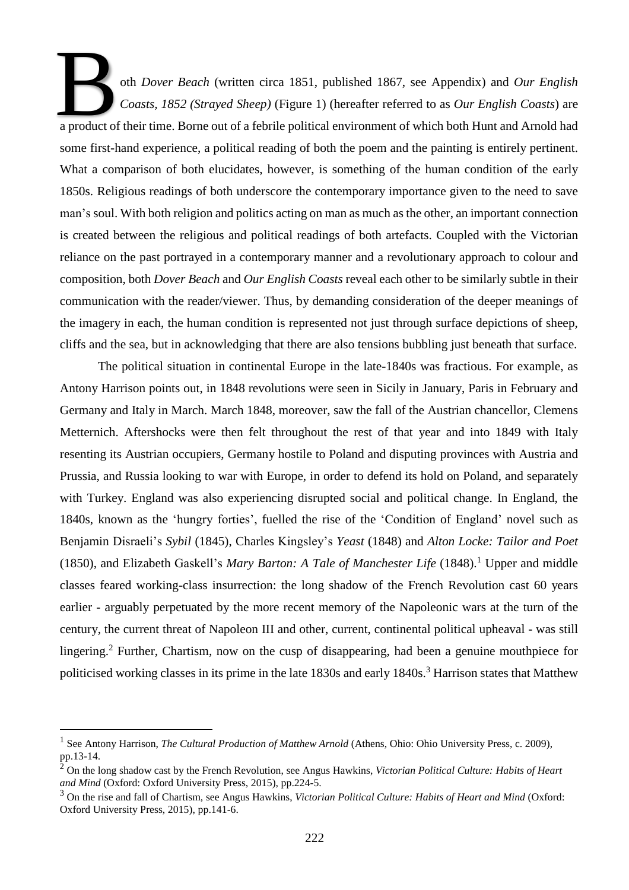oth *Dover Beach* (written circa 1851, published 1867, see Appendix) and *Our English fffffffffffffffffCoasts, 1852 (Strayed Sheep)* (Figure 1) (hereafter referred to as *Our English Coasts*) are a product of their time. Borne out of a febrile political environment of which both Hunt and Arnold had a product of their time. Borne out of a febrile political environment of which both Hunt and Arnold had some first-hand experience, a political reading of both the poem and the painting is entirely pertinent. What a comparison of both elucidates, however, is something of the human condition of the early 1850s. Religious readings of both underscore the contemporary importance given to the need to save man's soul. With both religion and politics acting on man as much as the other, an important connection is created between the religious and political readings of both artefacts. Coupled with the Victorian reliance on the past portrayed in a contemporary manner and a revolutionary approach to colour and composition, both *Dover Beach* and *Our English Coasts* reveal each other to be similarly subtle in their communication with the reader/viewer. Thus, by demanding consideration of the deeper meanings of the imagery in each, the human condition is represented not just through surface depictions of sheep, cliffs and the sea, but in acknowledging that there are also tensions bubbling just beneath that surface.

The political situation in continental Europe in the late-1840s was fractious. For example, as Antony Harrison points out, in 1848 revolutions were seen in Sicily in January, Paris in February and Germany and Italy in March. March 1848, moreover, saw the fall of the Austrian chancellor, Clemens Metternich. Aftershocks were then felt throughout the rest of that year and into 1849 with Italy resenting its Austrian occupiers, Germany hostile to Poland and disputing provinces with Austria and Prussia, and Russia looking to war with Europe, in order to defend its hold on Poland, and separately with Turkey. England was also experiencing disrupted social and political change. In England, the 1840s, known as the 'hungry forties', fuelled the rise of the 'Condition of England' novel such as Benjamin Disraeli's *Sybil* (1845), Charles Kingsley's *Yeast* (1848) and *Alton Locke: Tailor and Poet* (1850), and Elizabeth Gaskell's *Mary Barton: A Tale of Manchester Life* (1848).<sup>1</sup> Upper and middle classes feared working-class insurrection: the long shadow of the French Revolution cast 60 years earlier - arguably perpetuated by the more recent memory of the Napoleonic wars at the turn of the century, the current threat of Napoleon III and other, current, continental political upheaval - was still lingering.<sup>2</sup> Further, Chartism, now on the cusp of disappearing, had been a genuine mouthpiece for politicised working classes in its prime in the late 1830s and early 1840s.<sup>3</sup> Harrison states that Matthew

<sup>1</sup> See Antony Harrison, *The Cultural Production of Matthew Arnold* (Athens, Ohio: Ohio University Press, c. 2009), pp.13-14.

<sup>2</sup> On the long shadow cast by the French Revolution, see Angus Hawkins, *Victorian Political Culture: Habits of Heart and Mind* (Oxford: Oxford University Press, 2015), pp.224-5.

<sup>3</sup> On the rise and fall of Chartism, see Angus Hawkins, *Victorian Political Culture: Habits of Heart and Mind* (Oxford: Oxford University Press, 2015), pp.141-6.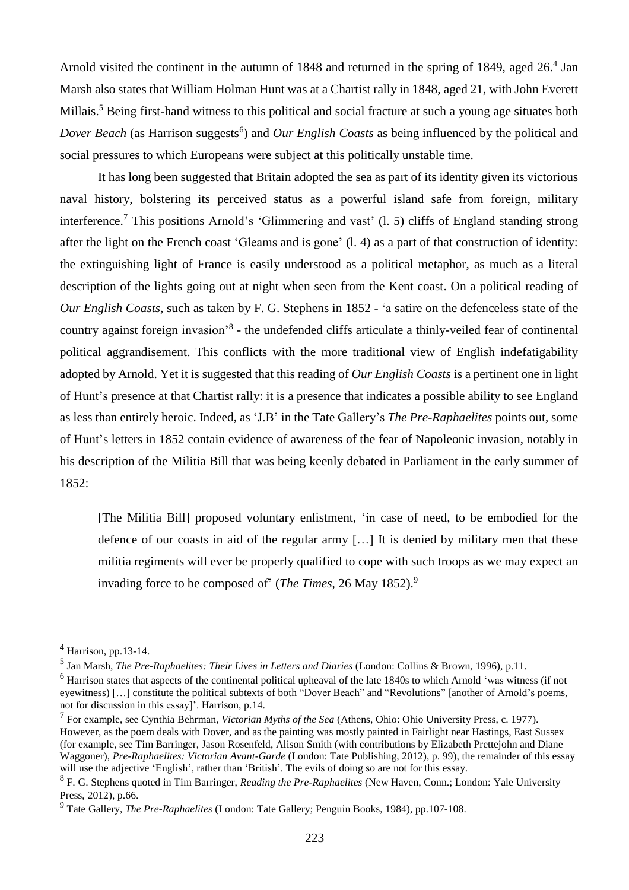Arnold visited the continent in the autumn of 1848 and returned in the spring of 1849, aged 26.<sup>4</sup> Jan Marsh also states that William Holman Hunt was at a Chartist rally in 1848, aged 21, with John Everett Millais.<sup>5</sup> Being first-hand witness to this political and social fracture at such a young age situates both *Dover Beach* (as Harrison suggests<sup>6</sup>) and *Our English Coasts* as being influenced by the political and social pressures to which Europeans were subject at this politically unstable time.

It has long been suggested that Britain adopted the sea as part of its identity given its victorious naval history, bolstering its perceived status as a powerful island safe from foreign, military interference.<sup>7</sup> This positions Arnold's 'Glimmering and vast' (l. 5) cliffs of England standing strong after the light on the French coast 'Gleams and is gone' (l. 4) as a part of that construction of identity: the extinguishing light of France is easily understood as a political metaphor, as much as a literal description of the lights going out at night when seen from the Kent coast. On a political reading of *Our English Coasts*, such as taken by F. G. Stephens in 1852 - 'a satire on the defenceless state of the country against foreign invasion<sup>,8</sup> - the undefended cliffs articulate a thinly-veiled fear of continental political aggrandisement. This conflicts with the more traditional view of English indefatigability adopted by Arnold. Yet it is suggested that this reading of *Our English Coasts* is a pertinent one in light of Hunt's presence at that Chartist rally: it is a presence that indicates a possible ability to see England as less than entirely heroic. Indeed, as 'J.B' in the Tate Gallery's *The Pre-Raphaelites* points out, some of Hunt's letters in 1852 contain evidence of awareness of the fear of Napoleonic invasion, notably in his description of the Militia Bill that was being keenly debated in Parliament in the early summer of 1852:

[The Militia Bill] proposed voluntary enlistment, 'in case of need, to be embodied for the defence of our coasts in aid of the regular army […] It is denied by military men that these militia regiments will ever be properly qualified to cope with such troops as we may expect an invading force to be composed of' (*The Times*, 26 May 1852).<sup>9</sup>

 $<sup>4</sup>$  Harrison, pp.13-14.</sup>

<sup>5</sup> Jan Marsh, *The Pre-Raphaelites: Their Lives in Letters and Diaries* (London: Collins & Brown, 1996), p.11.

<sup>6</sup> Harrison states that aspects of the continental political upheaval of the late 1840s to which Arnold 'was witness (if not eyewitness) […] constitute the political subtexts of both "Dover Beach" and "Revolutions" [another of Arnold's poems, not for discussion in this essay]'. Harrison, p.14.

<sup>7</sup> For example, see Cynthia Behrman, *Victorian Myths of the Sea* (Athens, Ohio: Ohio University Press, c. 1977). However, as the poem deals with Dover, and as the painting was mostly painted in Fairlight near Hastings, East Sussex (for example, see Tim Barringer, Jason Rosenfeld, Alison Smith (with contributions by Elizabeth Prettejohn and Diane Waggoner), *Pre-Raphaelites: Victorian Avant-Garde* (London: Tate Publishing, 2012), p. 99), the remainder of this essay will use the adjective 'English', rather than 'British'. The evils of doing so are not for this essay.

<sup>8</sup> F. G. Stephens quoted in Tim Barringer, *Reading the Pre-Raphaelites* (New Haven, Conn.; London: Yale University Press, 2012), p.66.

<sup>9</sup> Tate Gallery, *The Pre-Raphaelites* (London: Tate Gallery; Penguin Books, 1984), pp.107-108.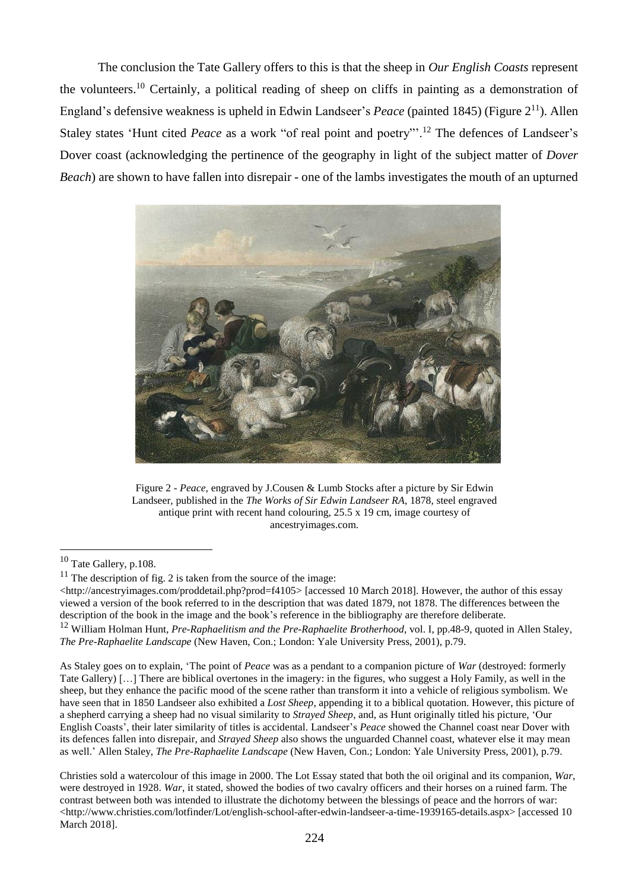The conclusion the Tate Gallery offers to this is that the sheep in *Our English Coasts* represent the volunteers.<sup>10</sup> Certainly, a political reading of sheep on cliffs in painting as a demonstration of England's defensive weakness is upheld in Edwin Landseer's *Peace* (painted 1845) (Figure 2<sup>11</sup>). Allen Staley states 'Hunt cited *Peace* as a work "of real point and poetry"<sup>2</sup>.<sup>12</sup> The defences of Landseer's Dover coast (acknowledging the pertinence of the geography in light of the subject matter of *Dover Beach*) are shown to have fallen into disrepair - one of the lambs investigates the mouth of an upturned



Figure 2 - *Peace,* engraved by J.Cousen & Lumb Stocks after a picture by Sir Edwin Landseer, published in the *The Works of Sir Edwin Landseer RA*, 1878, steel engraved antique print with recent hand colouring, 25.5 x 19 cm, image courtesy of [ancestryimages.com.](http://ancestryimages.com/)

l

As Staley goes on to explain, 'The point of *Peace* was as a pendant to a companion picture of *War* (destroyed: formerly Tate Gallery) […] There are biblical overtones in the imagery: in the figures, who suggest a Holy Family, as well in the sheep, but they enhance the pacific mood of the scene rather than transform it into a vehicle of religious symbolism. We have seen that in 1850 Landseer also exhibited a *Lost Sheep*, appending it to a biblical quotation. However, this picture of a shepherd carrying a sheep had no visual similarity to *Strayed Sheep*, and, as Hunt originally titled his picture, 'Our English Coasts', their later similarity of titles is accidental. Landseer's *Peace* showed the Channel coast near Dover with its defences fallen into disrepair, and *Strayed Sheep* also shows the unguarded Channel coast, whatever else it may mean as well.' Allen Staley, *The Pre-Raphaelite Landscape* (New Haven, Con.; London: Yale University Press, 2001), p.79.

Christies sold a watercolour of this image in 2000. The Lot Essay stated that both the oil original and its companion, *War*, were destroyed in 1928. *War*, it stated, showed the bodies of two cavalry officers and their horses on a ruined farm. The contrast between both was intended to illustrate the dichotomy between the blessings of peace and the horrors of war: <http://www.christies.com/lotfinder/Lot/english-school-after-edwin-landseer-a-time-1939165-details.aspx> [accessed 10 March 2018].

<sup>10</sup> Tate Gallery, p.108.

 $11$  The description of fig. 2 is taken from the source of the image:

<sup>&</sup>lt;http://ancestryimages.com/proddetail.php?prod=f4105> [accessed 10 March 2018]. However, the author of this essay viewed a version of the book referred to in the description that was dated 1879, not 1878. The differences between the description of the book in the image and the book's reference in the bibliography are therefore deliberate.

<sup>12</sup> William Holman Hunt, *Pre-Raphaelitism and the Pre-Raphaelite Brotherhood*, vol. I, pp.48-9, quoted in Allen Staley, *The Pre-Raphaelite Landscape* (New Haven, Con.; London: Yale University Press, 2001), p.79.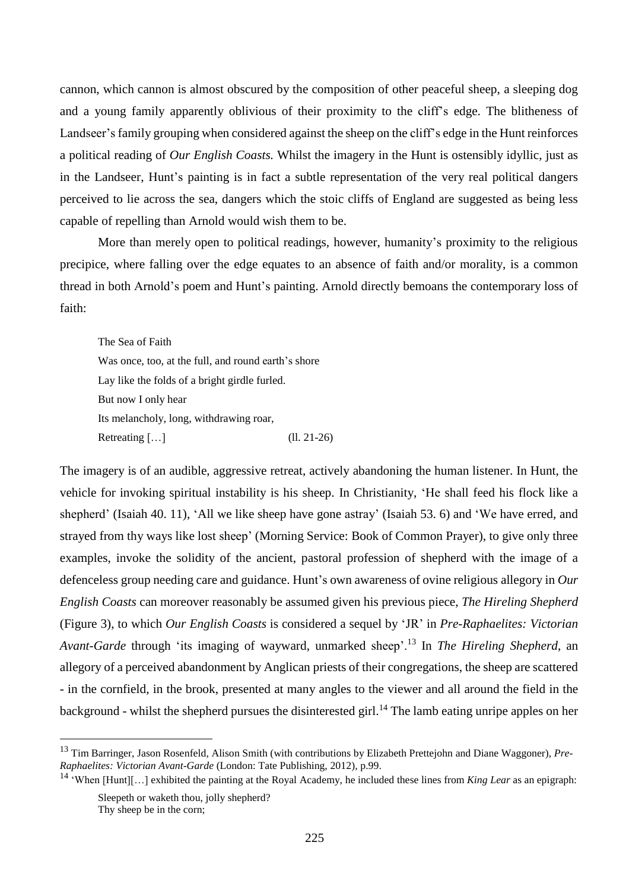cannon, which cannon is almost obscured by the composition of other peaceful sheep, a sleeping dog and a young family apparently oblivious of their proximity to the cliff's edge. The blitheness of Landseer's family grouping when considered against the sheep on the cliff's edge in the Hunt reinforces a political reading of *Our English Coasts.* Whilst the imagery in the Hunt is ostensibly idyllic, just as in the Landseer, Hunt's painting is in fact a subtle representation of the very real political dangers perceived to lie across the sea, dangers which the stoic cliffs of England are suggested as being less capable of repelling than Arnold would wish them to be.

More than merely open to political readings, however, humanity's proximity to the religious precipice, where falling over the edge equates to an absence of faith and/or morality, is a common thread in both Arnold's poem and Hunt's painting. Arnold directly bemoans the contemporary loss of faith:

The Sea of Faith Was once, too, at the full, and round earth's shore Lay like the folds of a bright girdle furled. But now I only hear Its melancholy, long, withdrawing roar, Retreating [...] (ll. 21-26)

The imagery is of an audible, aggressive retreat, actively abandoning the human listener. In Hunt, the vehicle for invoking spiritual instability is his sheep. In Christianity, 'He shall feed his flock like a shepherd' (Isaiah 40. 11), 'All we like sheep have gone astray' (Isaiah 53. 6) and 'We have erred, and strayed from thy ways like lost sheep' (Morning Service: Book of Common Prayer), to give only three examples, invoke the solidity of the ancient, pastoral profession of shepherd with the image of a defenceless group needing care and guidance. Hunt's own awareness of ovine religious allegory in *Our English Coasts* can moreover reasonably be assumed given his previous piece, *The Hireling Shepherd* (Figure 3), to which *Our English Coasts* is considered a sequel by 'JR' in *Pre-Raphaelites: Victorian Avant-Garde* through 'its imaging of wayward, unmarked sheep'.<sup>13</sup> In *The Hireling Shepherd*, an allegory of a perceived abandonment by Anglican priests of their congregations, the sheep are scattered - in the cornfield, in the brook, presented at many angles to the viewer and all around the field in the background - whilst the shepherd pursues the disinterested girl.<sup>14</sup> The lamb eating unripe apples on her

<sup>13</sup> Tim Barringer, Jason Rosenfeld, Alison Smith (with contributions by Elizabeth Prettejohn and Diane Waggoner), *Pre-Raphaelites: Victorian Avant-Garde* (London: Tate Publishing, 2012), p.99.

<sup>14</sup> 'When [Hunt][…] exhibited the painting at the Royal Academy, he included these lines from *King Lear* as an epigraph:

Sleepeth or waketh thou, jolly shepherd?

Thy sheep be in the corn;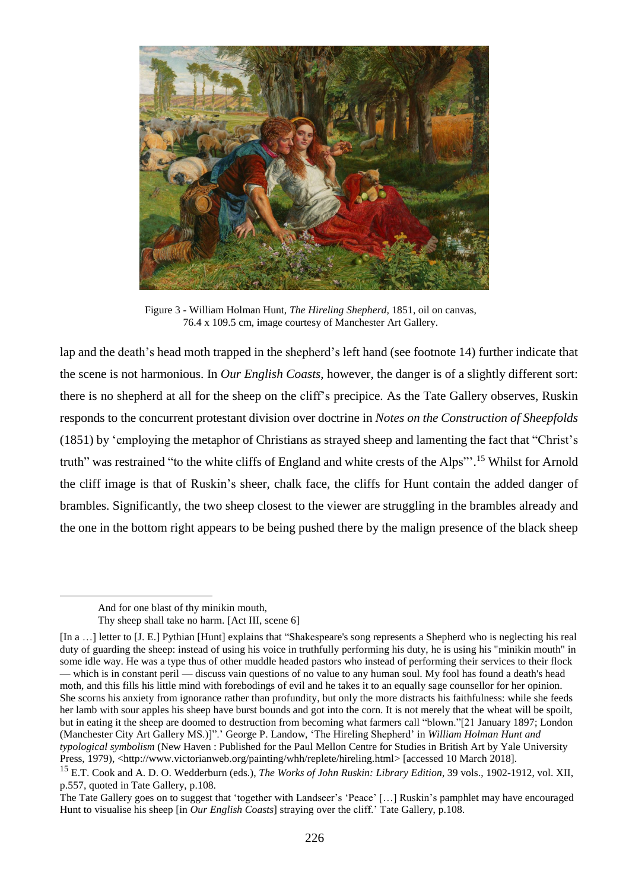

Figure 3 - William Holman Hunt, *The Hireling Shepherd,* 1851, oil on canvas, 76.4 x 109.5 cm, image courtesy of Manchester Art Gallery.

lap and the death's head moth trapped in the shepherd's left hand (see footnote 14) further indicate that the scene is not harmonious. In *Our English Coasts*, however, the danger is of a slightly different sort: there is no shepherd at all for the sheep on the cliff's precipice. As the Tate Gallery observes, Ruskin responds to the concurrent protestant division over doctrine in *Notes on the Construction of Sheepfolds* (1851) by 'employing the metaphor of Christians as strayed sheep and lamenting the fact that "Christ's truth" was restrained "to the white cliffs of England and white crests of the Alps"'.<sup>15</sup> Whilst for Arnold the cliff image is that of Ruskin's sheer, chalk face, the cliffs for Hunt contain the added danger of brambles. Significantly, the two sheep closest to the viewer are struggling in the brambles already and the one in the bottom right appears to be being pushed there by the malign presence of the black sheep

And for one blast of thy minikin mouth,

Thy sheep shall take no harm. [Act III, scene 6]

<sup>[</sup>In a …] letter to [J. E.] Pythian [Hunt] explains that "Shakespeare's song represents a Shepherd who is neglecting his real duty of guarding the sheep: instead of using his voice in truthfully performing his duty, he is using his "minikin mouth" in some idle way. He was a type thus of other muddle headed pastors who instead of performing their services to their flock — which is in constant peril — discuss vain questions of no value to any human soul. My fool has found a death's head moth, and this fills his little mind with forebodings of evil and he takes it to an equally sage counsellor for her opinion. She scorns his anxiety from ignorance rather than profundity, but only the more distracts his faithfulness: while she feeds her lamb with sour apples his sheep have burst bounds and got into the corn. It is not merely that the wheat will be spoilt, but in eating it the sheep are doomed to destruction from becoming what farmers call "blown."[21 January 1897; London (Manchester City Art Gallery MS.)]".' George P. Landow, 'The Hireling Shepherd' in *William Holman Hunt and typological symbolism* (New Haven : Published for the Paul Mellon Centre for Studies in British Art by Yale University Press, 1979), <http://www.victorianweb.org/painting/whh/replete/hireling.html> [accessed 10 March 2018].

<sup>15</sup> E.T. Cook and A. D. O. Wedderburn (eds.), *The Works of John Ruskin: Library Edition*, 39 vols., 1902-1912, vol. XII, p.557, quoted in Tate Gallery, p.108.

The Tate Gallery goes on to suggest that 'together with Landseer's 'Peace' […] Ruskin's pamphlet may have encouraged Hunt to visualise his sheep [in *Our English Coasts*] straying over the cliff.' Tate Gallery, p.108.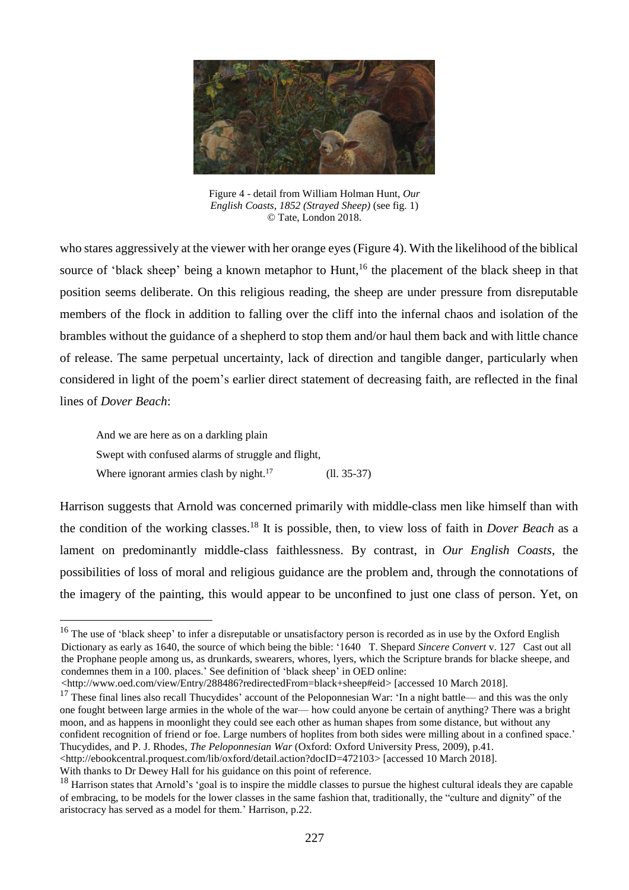

Figure 4 - detail from William Holman Hunt, *Our English Coasts, 1852 (Strayed Sheep)* (see fig. 1) © Tate, London 2018.

who stares aggressively at the viewer with her orange eyes (Figure 4). With the likelihood of the biblical source of 'black sheep' being a known metaphor to Hunt,<sup>16</sup> the placement of the black sheep in that position seems deliberate. On this religious reading, the sheep are under pressure from disreputable members of the flock in addition to falling over the cliff into the infernal chaos and isolation of the brambles without the guidance of a shepherd to stop them and/or haul them back and with little chance of release. The same perpetual uncertainty, lack of direction and tangible danger, particularly when considered in light of the poem's earlier direct statement of decreasing faith, are reflected in the final lines of *Dover Beach*:

And we are here as on a darkling plain Swept with confused alarms of struggle and flight, Where ignorant armies clash by night. $17$  (ll. 35-37)

 $\overline{a}$ 

Harrison suggests that Arnold was concerned primarily with middle-class men like himself than with the condition of the working classes.<sup>18</sup> It is possible, then, to view loss of faith in *Dover Beach* as a lament on predominantly middle-class faithlessness. By contrast, in *Our English Coasts*, the possibilities of loss of moral and religious guidance are the problem and, through the connotations of the imagery of the painting, this would appear to be unconfined to just one class of person. Yet, on

<http://www.oed.com/view/Entry/288486?redirectedFrom=black+sheep#eid> [accessed 10 March 2018].

 $17$  These final lines also recall Thucydides' account of the Peloponnesian War: 'In a night battle— and this was the only one fought between large armies in the whole of the war— how could anyone be certain of anything? There was a bright moon, and as happens in moonlight they could see each other as human shapes from some distance, but without any confident recognition of friend or foe. Large numbers of hoplites from both sides were milling about in a confined space.' Thucydides, and P. J. Rhodes, *The Peloponnesian War* (Oxford: Oxford University Press, 2009), p.41. <http://ebookcentral.proquest.com/lib/oxford/detail.action?docID=472103> [accessed 10 March 2018]. With thanks to Dr Dewey Hall for his guidance on this point of reference.

<sup>&</sup>lt;sup>16</sup> The use of 'black sheep' to infer a disreputable or unsatisfactory person is recorded as in use by the Oxford English Dictionary as early as 1640, the source of which being the bible: '1640 T. Shepard *Sincere Convert* v. 127 Cast out all the Prophane people among us, as drunkards, swearers, whores, lyers, which the Scripture brands for blacke sheepe, and condemnes them in a 100. places.' See definition of 'black sheep' in OED online:

<sup>&</sup>lt;sup>18</sup> Harrison states that Arnold's 'goal is to inspire the middle classes to pursue the highest cultural ideals they are capable of embracing, to be models for the lower classes in the same fashion that, traditionally, the "culture and dignity" of the aristocracy has served as a model for them.' Harrison, p.22.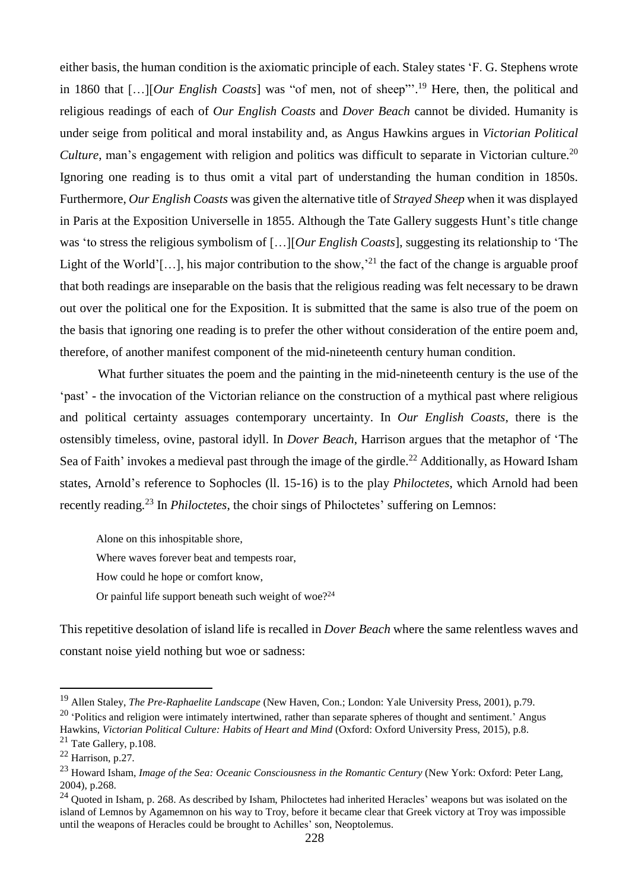either basis, the human condition is the axiomatic principle of each. Staley states 'F. G. Stephens wrote in 1860 that […][*Our English Coasts*] was "of men, not of sheep"'. <sup>19</sup> Here, then, the political and religious readings of each of *Our English Coasts* and *Dover Beach* cannot be divided. Humanity is under seige from political and moral instability and, as Angus Hawkins argues in *Victorian Political Culture*, man's engagement with religion and politics was difficult to separate in Victorian culture.<sup>20</sup> Ignoring one reading is to thus omit a vital part of understanding the human condition in 1850s. Furthermore, *Our English Coasts* was given the alternative title of *Strayed Sheep* when it was displayed in Paris at the Exposition Universelle in 1855. Although the Tate Gallery suggests Hunt's title change was 'to stress the religious symbolism of […][*Our English Coasts*], suggesting its relationship to 'The Light of the World'[...], his major contribution to the show,<sup>21</sup> the fact of the change is arguable proof that both readings are inseparable on the basis that the religious reading was felt necessary to be drawn out over the political one for the Exposition. It is submitted that the same is also true of the poem on the basis that ignoring one reading is to prefer the other without consideration of the entire poem and, therefore, of another manifest component of the mid-nineteenth century human condition.

What further situates the poem and the painting in the mid-nineteenth century is the use of the 'past' - the invocation of the Victorian reliance on the construction of a mythical past where religious and political certainty assuages contemporary uncertainty. In *Our English Coasts*, there is the ostensibly timeless, ovine, pastoral idyll. In *Dover Beach*, Harrison argues that the metaphor of 'The Sea of Faith' invokes a medieval past through the image of the girdle.<sup>22</sup> Additionally, as Howard Isham states, Arnold's reference to Sophocles (ll. 15-16) is to the play *Philoctetes*, which Arnold had been recently reading.<sup>23</sup> In *Philoctetes*, the choir sings of Philoctetes' suffering on Lemnos:

Alone on this inhospitable shore, Where waves forever beat and tempests roar, How could he hope or comfort know, Or painful life support beneath such weight of woe?<sup>24</sup>

This repetitive desolation of island life is recalled in *Dover Beach* where the same relentless waves and constant noise yield nothing but woe or sadness:

 $20$  'Politics and religion were intimately intertwined, rather than separate spheres of thought and sentiment.' Angus Hawkins, *Victorian Political Culture: Habits of Heart and Mind* (Oxford: Oxford University Press, 2015), p.8.

<sup>19</sup> Allen Staley, *The Pre-Raphaelite Landscape* (New Haven, Con.; London: Yale University Press, 2001), p.79.

 $^{21}$  Tate Gallery, p.108.

 $22$  Harrison, p.27.

<sup>23</sup> Howard Isham, *Image of the Sea: Oceanic Consciousness in the Romantic Century* (New York: Oxford: Peter Lang, 2004), p.268.

<sup>&</sup>lt;sup>24</sup> Quoted in Isham, p. 268. As described by Isham, Philoctetes had inherited Heracles' weapons but was isolated on the island of Lemnos by Agamemnon on his way to Troy, before it became clear that Greek victory at Troy was impossible until the weapons of Heracles could be brought to Achilles' son, Neoptolemus.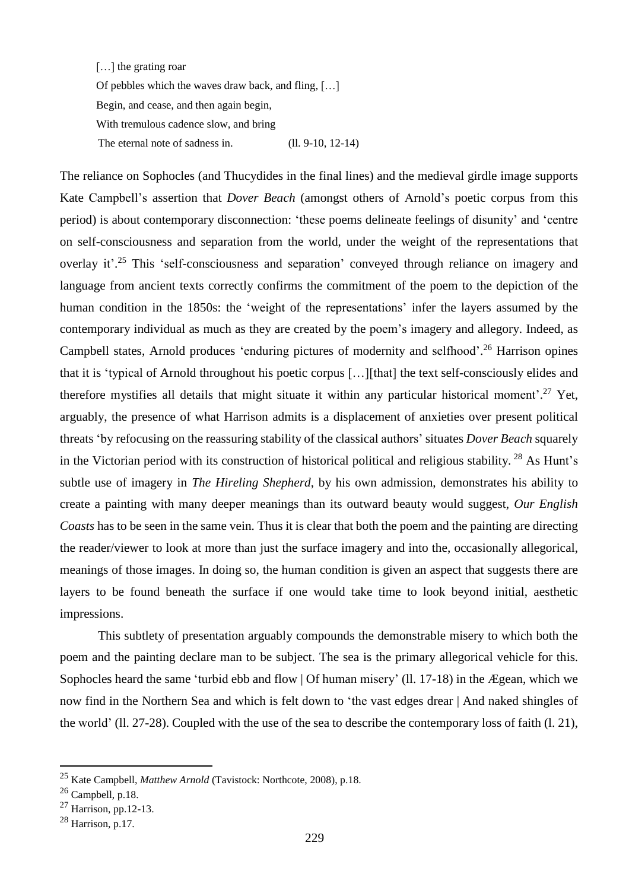[...] the grating roar Of pebbles which the waves draw back, and fling, […] Begin, and cease, and then again begin, With tremulous cadence slow, and bring The eternal note of sadness in. (ll. 9-10, 12-14)

The reliance on Sophocles (and Thucydides in the final lines) and the medieval girdle image supports Kate Campbell's assertion that *Dover Beach* (amongst others of Arnold's poetic corpus from this period) is about contemporary disconnection: 'these poems delineate feelings of disunity' and 'centre on self-consciousness and separation from the world, under the weight of the representations that overlay it'.<sup>25</sup> This 'self-consciousness and separation' conveyed through reliance on imagery and language from ancient texts correctly confirms the commitment of the poem to the depiction of the human condition in the 1850s: the 'weight of the representations' infer the layers assumed by the contemporary individual as much as they are created by the poem's imagery and allegory. Indeed, as Campbell states, Arnold produces 'enduring pictures of modernity and selfhood'. <sup>26</sup> Harrison opines that it is 'typical of Arnold throughout his poetic corpus […][that] the text self-consciously elides and therefore mystifies all details that might situate it within any particular historical moment'. <sup>27</sup> Yet, arguably, the presence of what Harrison admits is a displacement of anxieties over present political threats 'by refocusing on the reassuring stability of the classical authors' situates *Dover Beach* squarely in the Victorian period with its construction of historical political and religious stability. <sup>28</sup> As Hunt's subtle use of imagery in *The Hireling Shepherd*, by his own admission, demonstrates his ability to create a painting with many deeper meanings than its outward beauty would suggest, *Our English Coasts* has to be seen in the same vein. Thus it is clear that both the poem and the painting are directing the reader/viewer to look at more than just the surface imagery and into the, occasionally allegorical, meanings of those images. In doing so, the human condition is given an aspect that suggests there are layers to be found beneath the surface if one would take time to look beyond initial, aesthetic impressions.

This subtlety of presentation arguably compounds the demonstrable misery to which both the poem and the painting declare man to be subject. The sea is the primary allegorical vehicle for this. Sophocles heard the same 'turbid ebb and flow | Of human misery' (ll. 17-18) in the Ægean, which we now find in the Northern Sea and which is felt down to 'the vast edges drear | And naked shingles of the world' (ll. 27-28). Coupled with the use of the sea to describe the contemporary loss of faith (l. 21),

<sup>25</sup> Kate Campbell, *Matthew Arnold* (Tavistock: Northcote, 2008), p.18.

 $26$  Campbell, p.18.

<sup>27</sup> Harrison, pp.12-13.

 $28$  Harrison, p.17.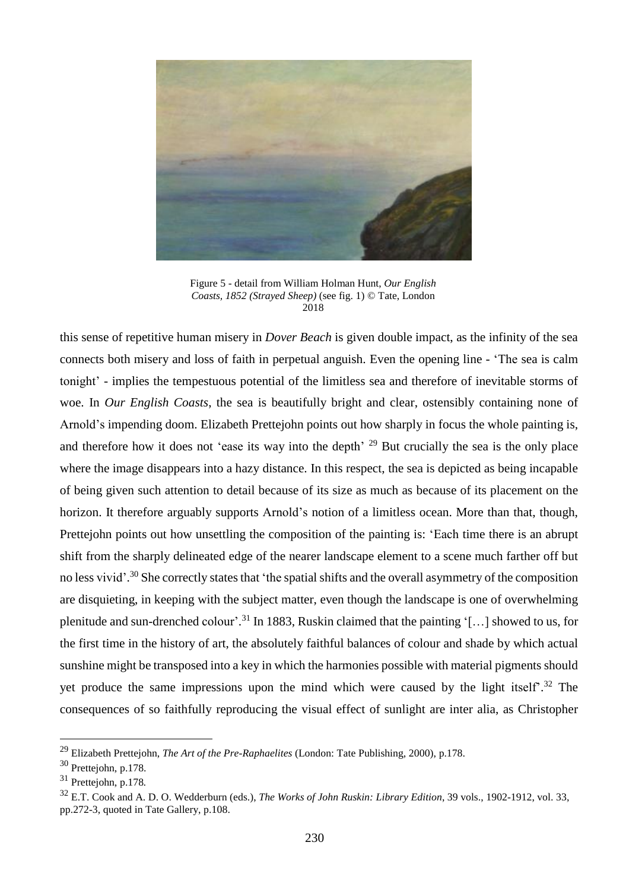

Figure 5 - detail from William Holman Hunt, *Our English Coasts, 1852 (Strayed Sheep)* (see fig. 1) © Tate, London 2018

this sense of repetitive human misery in *Dover Beach* is given double impact, as the infinity of the sea connects both misery and loss of faith in perpetual anguish. Even the opening line - 'The sea is calm tonight' - implies the tempestuous potential of the limitless sea and therefore of inevitable storms of woe. In *Our English Coasts*, the sea is beautifully bright and clear, ostensibly containing none of Arnold's impending doom. Elizabeth Prettejohn points out how sharply in focus the whole painting is, and therefore how it does not 'ease its way into the depth' <sup>29</sup> But crucially the sea is the only place where the image disappears into a hazy distance. In this respect, the sea is depicted as being incapable of being given such attention to detail because of its size as much as because of its placement on the horizon. It therefore arguably supports Arnold's notion of a limitless ocean. More than that, though, Prettejohn points out how unsettling the composition of the painting is: 'Each time there is an abrupt shift from the sharply delineated edge of the nearer landscape element to a scene much farther off but no less vivid'.<sup>30</sup> She correctly states that 'the spatial shifts and the overall asymmetry of the composition are disquieting, in keeping with the subject matter, even though the landscape is one of overwhelming plenitude and sun-drenched colour'.<sup>31</sup> In 1883, Ruskin claimed that the painting '[...] showed to us, for the first time in the history of art, the absolutely faithful balances of colour and shade by which actual sunshine might be transposed into a key in which the harmonies possible with material pigments should yet produce the same impressions upon the mind which were caused by the light itself<sup>32</sup>. The consequences of so faithfully reproducing the visual effect of sunlight are inter alia, as Christopher

<sup>29</sup> Elizabeth Prettejohn, *The Art of the Pre-Raphaelites* (London: Tate Publishing, 2000), p.178.

<sup>30</sup> Prettejohn, p.178.

<sup>31</sup> Prettejohn, p.178*.*

<sup>32</sup> E.T. Cook and A. D. O. Wedderburn (eds.), *The Works of John Ruskin: Library Edition*, 39 vols., 1902-1912, vol. 33, pp.272-3, quoted in Tate Gallery, p.108.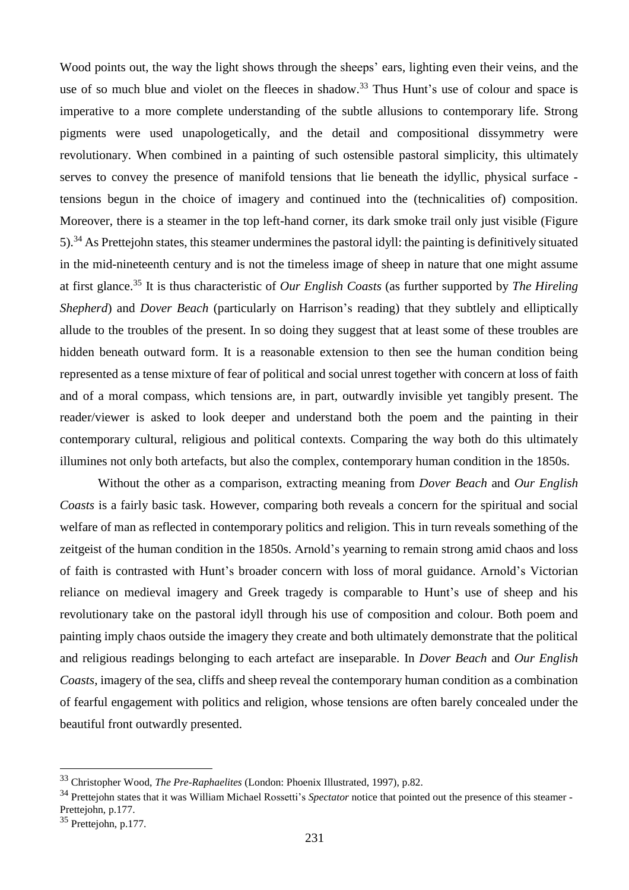Wood points out, the way the light shows through the sheeps' ears, lighting even their veins, and the use of so much blue and violet on the fleeces in shadow.<sup>33</sup> Thus Hunt's use of colour and space is imperative to a more complete understanding of the subtle allusions to contemporary life. Strong pigments were used unapologetically, and the detail and compositional dissymmetry were revolutionary. When combined in a painting of such ostensible pastoral simplicity, this ultimately serves to convey the presence of manifold tensions that lie beneath the idyllic, physical surface tensions begun in the choice of imagery and continued into the (technicalities of) composition. Moreover, there is a steamer in the top left-hand corner, its dark smoke trail only just visible (Figure 5).<sup>34</sup> As Prettejohn states, this steamer undermines the pastoral idyll: the painting is definitively situated in the mid-nineteenth century and is not the timeless image of sheep in nature that one might assume at first glance.<sup>35</sup> It is thus characteristic of *Our English Coasts* (as further supported by *The Hireling Shepherd*) and *Dover Beach* (particularly on Harrison's reading) that they subtlely and elliptically allude to the troubles of the present. In so doing they suggest that at least some of these troubles are hidden beneath outward form. It is a reasonable extension to then see the human condition being represented as a tense mixture of fear of political and social unrest together with concern at loss of faith and of a moral compass, which tensions are, in part, outwardly invisible yet tangibly present. The reader/viewer is asked to look deeper and understand both the poem and the painting in their contemporary cultural, religious and political contexts. Comparing the way both do this ultimately illumines not only both artefacts, but also the complex, contemporary human condition in the 1850s.

Without the other as a comparison, extracting meaning from *Dover Beach* and *Our English Coasts* is a fairly basic task. However, comparing both reveals a concern for the spiritual and social welfare of man as reflected in contemporary politics and religion. This in turn reveals something of the zeitgeist of the human condition in the 1850s. Arnold's yearning to remain strong amid chaos and loss of faith is contrasted with Hunt's broader concern with loss of moral guidance. Arnold's Victorian reliance on medieval imagery and Greek tragedy is comparable to Hunt's use of sheep and his revolutionary take on the pastoral idyll through his use of composition and colour. Both poem and painting imply chaos outside the imagery they create and both ultimately demonstrate that the political and religious readings belonging to each artefact are inseparable. In *Dover Beach* and *Our English Coasts*, imagery of the sea, cliffs and sheep reveal the contemporary human condition as a combination of fearful engagement with politics and religion, whose tensions are often barely concealed under the beautiful front outwardly presented.

<sup>33</sup> Christopher Wood, *The Pre-Raphaelites* (London: Phoenix Illustrated, 1997), p.82.

<sup>&</sup>lt;sup>34</sup> Prettejohn states that it was William Michael Rossetti's *Spectator* notice that pointed out the presence of this steamer -Prettejohn, p.177.

<sup>35</sup> Prettejohn, p.177.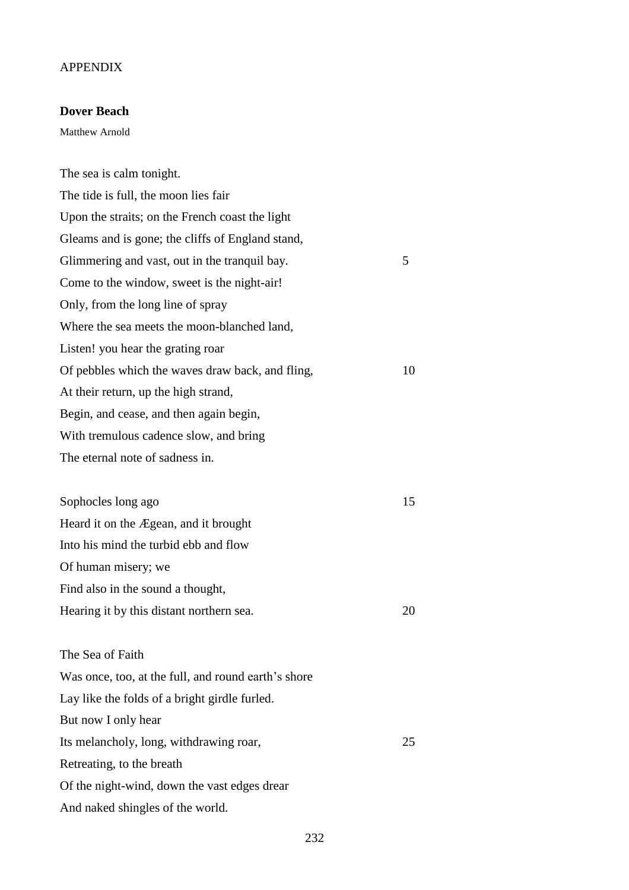### APPENDIX

## **Dover Beach**

Matthew Arnold

The sea is calm tonight. The tide is full, the moon lies fair Upon the straits; on the French coast the light Gleams and is gone; the cliffs of England stand, Glimmering and vast, out in the tranquil bay. 5 Come to the window, sweet is the night-air! Only, from the long line of spray Where the sea meets the moon-blanched land, Listen! you hear the grating roar Of pebbles which the waves draw back, and fling, 10 At their return, up the high strand, Begin, and cease, and then again begin, With tremulous cadence slow, and bring The eternal note of sadness in. Sophocles long ago 15 Heard it on the Ægean, and it brought Into his mind the turbid ebb and flow Of human misery; we Find also in the sound a thought, Hearing it by this distant northern sea. 20 The Sea of Faith Was once, too, at the full, and round earth's shore Lay like the folds of a bright girdle furled. But now I only hear Its melancholy, long, withdrawing roar, 25 Retreating, to the breath Of the night-wind, down the vast edges drear And naked shingles of the world.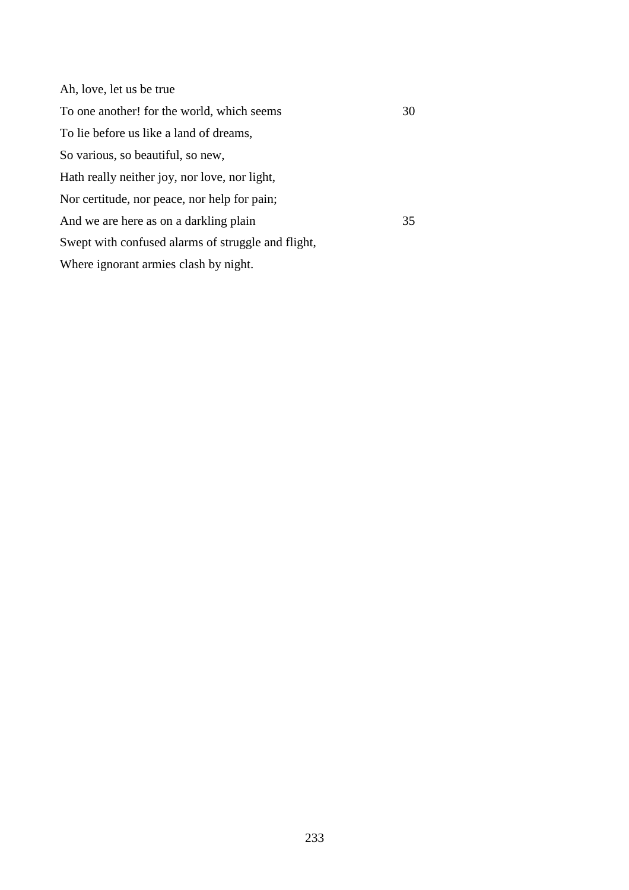| Ah, love, let us be true                           |    |
|----------------------------------------------------|----|
| To one another! for the world, which seems         | 30 |
| To lie before us like a land of dreams,            |    |
| So various, so beautiful, so new,                  |    |
| Hath really neither joy, nor love, nor light,      |    |
| Nor certitude, nor peace, nor help for pain;       |    |
| And we are here as on a darkling plain             | 35 |
| Swept with confused alarms of struggle and flight, |    |
| Where ignorant armies clash by night.              |    |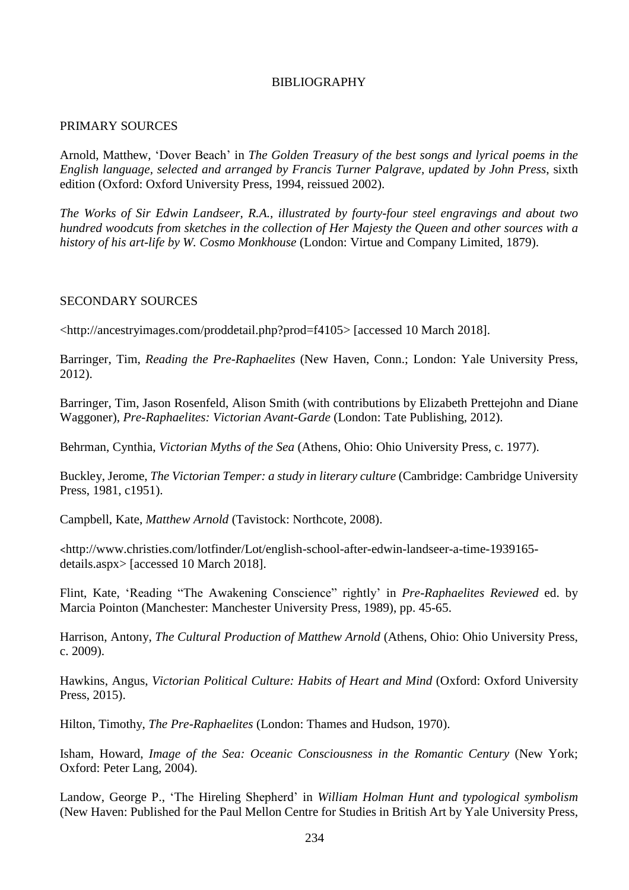# BIBLIOGRAPHY

### PRIMARY SOURCES

Arnold, Matthew, 'Dover Beach' in *The Golden Treasury of the best songs and lyrical poems in the English language, selected and arranged by Francis Turner Palgrave, updated by John Press*, sixth edition (Oxford: Oxford University Press, 1994, reissued 2002).

*The Works of Sir Edwin Landseer, R.A., illustrated by fourty-four steel engravings and about two hundred woodcuts from sketches in the collection of Her Majesty the Queen and other sources with a history of his art-life by W. Cosmo Monkhouse* (London: Virtue and Company Limited, 1879).

### SECONDARY SOURCES

<http://ancestryimages.com/proddetail.php?prod=f4105> [accessed 10 March 2018].

Barringer, Tim, *Reading the Pre-Raphaelites* (New Haven, Conn.; London: Yale University Press, 2012).

Barringer, Tim, Jason Rosenfeld, Alison Smith (with contributions by Elizabeth Prettejohn and Diane Waggoner), *Pre-Raphaelites: Victorian Avant-Garde* (London: Tate Publishing, 2012).

Behrman, Cynthia, *Victorian Myths of the Sea* (Athens, Ohio: Ohio University Press, c. 1977).

Buckley, Jerome, *The Victorian Temper: a study in literary culture* (Cambridge: Cambridge University Press, 1981, c1951).

Campbell, Kate, *Matthew Arnold* (Tavistock: Northcote, 2008).

<http://www.christies.com/lotfinder/Lot/english-school-after-edwin-landseer-a-time-1939165 details.aspx> [accessed 10 March 2018].

Flint, Kate, 'Reading "The Awakening Conscience" rightly' in *Pre-Raphaelites Reviewed* ed. by Marcia Pointon (Manchester: Manchester University Press, 1989), pp. 45-65.

Harrison, Antony, *The Cultural Production of Matthew Arnold* (Athens, Ohio: Ohio University Press, c. 2009).

Hawkins, Angus, *Victorian Political Culture: Habits of Heart and Mind* (Oxford: Oxford University Press, 2015).

Hilton, Timothy, *The Pre-Raphaelites* (London: Thames and Hudson, 1970).

Isham, Howard, *Image of the Sea: Oceanic Consciousness in the Romantic Century* (New York; Oxford: Peter Lang, 2004).

Landow, George P., 'The Hireling Shepherd' in *William Holman Hunt and typological symbolism* (New Haven: Published for the Paul Mellon Centre for Studies in British Art by Yale University Press,